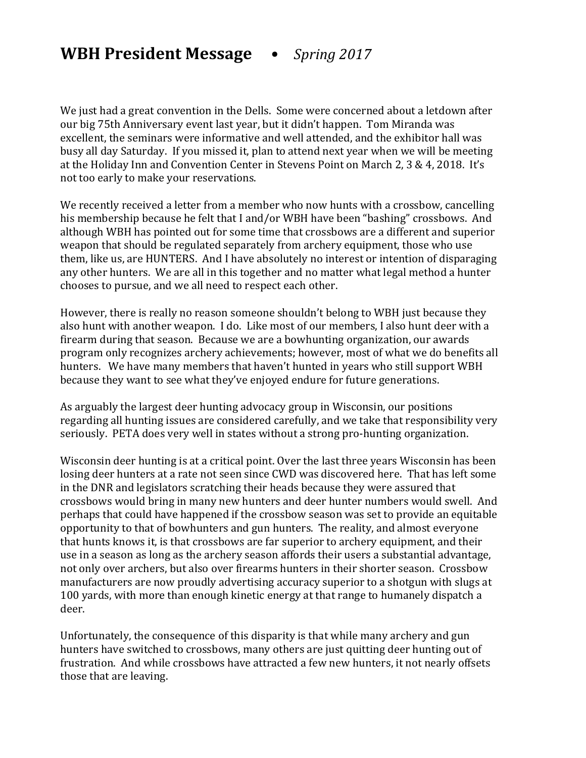## **WBH President Message •** Spring 2017

We just had a great convention in the Dells. Some were concerned about a letdown after our big 75th Anniversary event last year, but it didn't happen. Tom Miranda was excellent, the seminars were informative and well attended, and the exhibitor hall was busy all day Saturday. If you missed it, plan to attend next year when we will be meeting at the Holiday Inn and Convention Center in Stevens Point on March 2, 3 & 4, 2018. It's not too early to make your reservations.

We recently received a letter from a member who now hunts with a crossbow, cancelling his membership because he felt that I and/or WBH have been "bashing" crossbows. And although WBH has pointed out for some time that crossbows are a different and superior weapon that should be regulated separately from archery equipment, those who use them, like us, are HUNTERS. And I have absolutely no interest or intention of disparaging any other hunters. We are all in this together and no matter what legal method a hunter chooses to pursue, and we all need to respect each other.

However, there is really no reason someone shouldn't belong to WBH just because they also hunt with another weapon. I do. Like most of our members, I also hunt deer with a firearm during that season. Because we are a bowhunting organization, our awards program only recognizes archery achievements; however, most of what we do benefits all hunters. We have many members that haven't hunted in years who still support WBH because they want to see what they've enjoyed endure for future generations.

As arguably the largest deer hunting advocacy group in Wisconsin, our positions regarding all hunting issues are considered carefully, and we take that responsibility very seriously. PETA does very well in states without a strong pro-hunting organization.

Wisconsin deer hunting is at a critical point. Over the last three years Wisconsin has been losing deer hunters at a rate not seen since CWD was discovered here. That has left some in the DNR and legislators scratching their heads because they were assured that crossbows would bring in many new hunters and deer hunter numbers would swell. And perhaps that could have happened if the crossbow season was set to provide an equitable opportunity to that of bowhunters and gun hunters. The reality, and almost everyone that hunts knows it, is that crossbows are far superior to archery equipment, and their use in a season as long as the archery season affords their users a substantial advantage, not only over archers, but also over firearms hunters in their shorter season. Crossbow manufacturers are now proudly advertising accuracy superior to a shotgun with slugs at 100 yards, with more than enough kinetic energy at that range to humanely dispatch a deer. 

Unfortunately, the consequence of this disparity is that while many archery and gun hunters have switched to crossbows, many others are just quitting deer hunting out of frustration. And while crossbows have attracted a few new hunters, it not nearly offsets those that are leaving.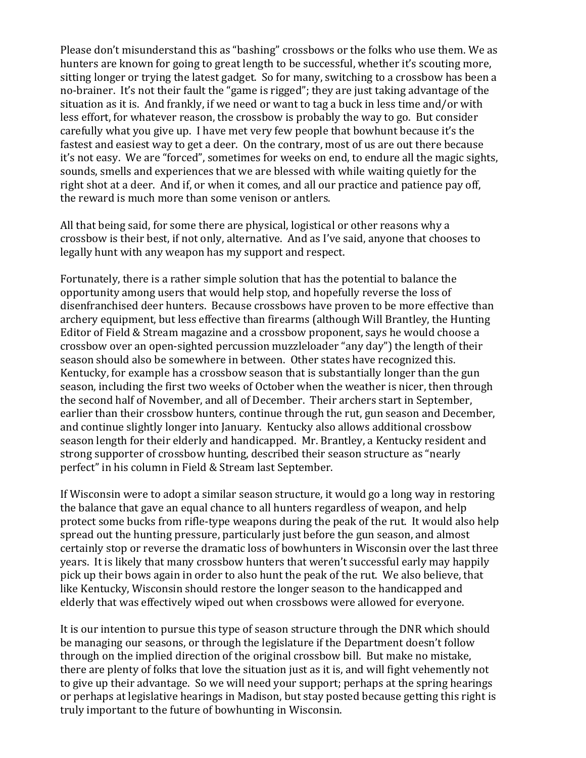Please don't misunderstand this as "bashing" crossbows or the folks who use them. We as hunters are known for going to great length to be successful, whether it's scouting more, sitting longer or trying the latest gadget. So for many, switching to a crossbow has been a no-brainer. It's not their fault the "game is rigged"; they are just taking advantage of the situation as it is. And frankly, if we need or want to tag a buck in less time and/or with less effort, for whatever reason, the crossbow is probably the way to go. But consider carefully what you give up. I have met very few people that bowhunt because it's the fastest and easiest way to get a deer. On the contrary, most of us are out there because it's not easy. We are "forced", sometimes for weeks on end, to endure all the magic sights, sounds, smells and experiences that we are blessed with while waiting quietly for the right shot at a deer. And if, or when it comes, and all our practice and patience pay off, the reward is much more than some venison or antlers.

All that being said, for some there are physical, logistical or other reasons why a crossbow is their best, if not only, alternative. And as I've said, anyone that chooses to legally hunt with any weapon has my support and respect.

Fortunately, there is a rather simple solution that has the potential to balance the opportunity among users that would help stop, and hopefully reverse the loss of disenfranchised deer hunters. Because crossbows have proven to be more effective than archery equipment, but less effective than firearms (although Will Brantley, the Hunting Editor of Field & Stream magazine and a crossbow proponent, says he would choose a crossbow over an open-sighted percussion muzzleloader "any day") the length of their season should also be somewhere in between. Other states have recognized this. Kentucky, for example has a crossbow season that is substantially longer than the gun season, including the first two weeks of October when the weather is nicer, then through the second half of November, and all of December. Their archers start in September, earlier than their crossbow hunters, continue through the rut, gun season and December, and continue slightly longer into January. Kentucky also allows additional crossbow season length for their elderly and handicapped. Mr. Brantley, a Kentucky resident and strong supporter of crossbow hunting, described their season structure as "nearly perfect" in his column in Field & Stream last September.

If Wisconsin were to adopt a similar season structure, it would go a long way in restoring the balance that gave an equal chance to all hunters regardless of weapon, and help protect some bucks from rifle-type weapons during the peak of the rut. It would also help spread out the hunting pressure, particularly just before the gun season, and almost certainly stop or reverse the dramatic loss of bowhunters in Wisconsin over the last three years. It is likely that many crossbow hunters that weren't successful early may happily pick up their bows again in order to also hunt the peak of the rut. We also believe, that like Kentucky, Wisconsin should restore the longer season to the handicapped and elderly that was effectively wiped out when crossbows were allowed for everyone.

It is our intention to pursue this type of season structure through the DNR which should be managing our seasons, or through the legislature if the Department doesn't follow through on the implied direction of the original crossbow bill. But make no mistake, there are plenty of folks that love the situation just as it is, and will fight vehemently not to give up their advantage. So we will need your support; perhaps at the spring hearings or perhaps at legislative hearings in Madison, but stay posted because getting this right is truly important to the future of bowhunting in Wisconsin.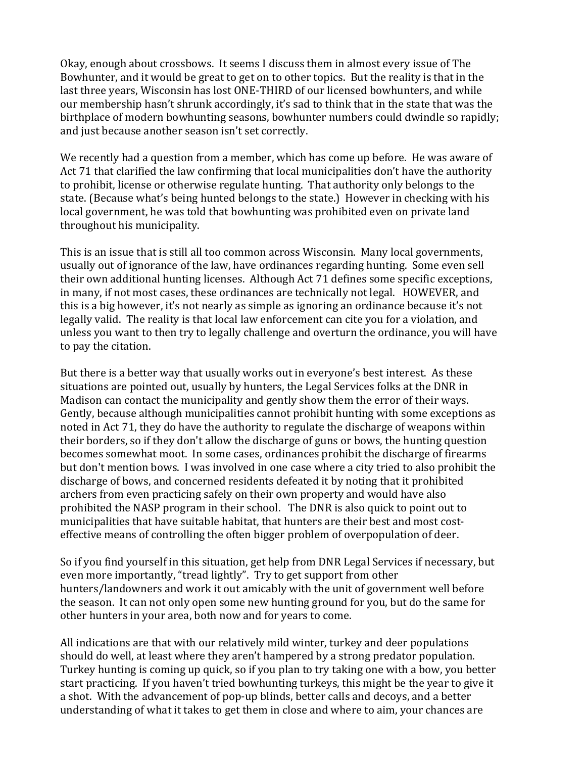Okay, enough about crossbows. It seems I discuss them in almost every issue of The Bowhunter, and it would be great to get on to other topics. But the reality is that in the last three years, Wisconsin has lost ONE-THIRD of our licensed bowhunters, and while our membership hasn't shrunk accordingly, it's sad to think that in the state that was the birthplace of modern bowhunting seasons, bowhunter numbers could dwindle so rapidly; and just because another season isn't set correctly.

We recently had a question from a member, which has come up before. He was aware of Act 71 that clarified the law confirming that local municipalities don't have the authority to prohibit, license or otherwise regulate hunting. That authority only belongs to the state. (Because what's being hunted belongs to the state.) However in checking with his local government, he was told that bowhunting was prohibited even on private land throughout his municipality.

This is an issue that is still all too common across Wisconsin. Many local governments, usually out of ignorance of the law, have ordinances regarding hunting. Some even sell their own additional hunting licenses. Although Act 71 defines some specific exceptions, in many, if not most cases, these ordinances are technically not legal. HOWEVER, and this is a big however, it's not nearly as simple as ignoring an ordinance because it's not legally valid. The reality is that local law enforcement can cite you for a violation, and unless you want to then try to legally challenge and overturn the ordinance, you will have to pay the citation.

But there is a better way that usually works out in everyone's best interest. As these situations are pointed out, usually by hunters, the Legal Services folks at the DNR in Madison can contact the municipality and gently show them the error of their ways. Gently, because although municipalities cannot prohibit hunting with some exceptions as noted in Act 71, they do have the authority to regulate the discharge of weapons within their borders, so if they don't allow the discharge of guns or bows, the hunting question becomes somewhat moot. In some cases, ordinances prohibit the discharge of firearms but don't mention bows. I was involved in one case where a city tried to also prohibit the discharge of bows, and concerned residents defeated it by noting that it prohibited archers from even practicing safely on their own property and would have also prohibited the NASP program in their school. The DNR is also quick to point out to municipalities that have suitable habitat, that hunters are their best and most costeffective means of controlling the often bigger problem of overpopulation of deer.

So if you find yourself in this situation, get help from DNR Legal Services if necessary, but even more importantly, "tread lightly". Try to get support from other hunters/landowners and work it out amicably with the unit of government well before the season. It can not only open some new hunting ground for you, but do the same for other hunters in your area, both now and for years to come.

All indications are that with our relatively mild winter, turkey and deer populations should do well, at least where they aren't hampered by a strong predator population. Turkey hunting is coming up quick, so if you plan to try taking one with a bow, you better start practicing. If you haven't tried bowhunting turkeys, this might be the year to give it a shot. With the advancement of pop-up blinds, better calls and decoys, and a better understanding of what it takes to get them in close and where to aim, your chances are